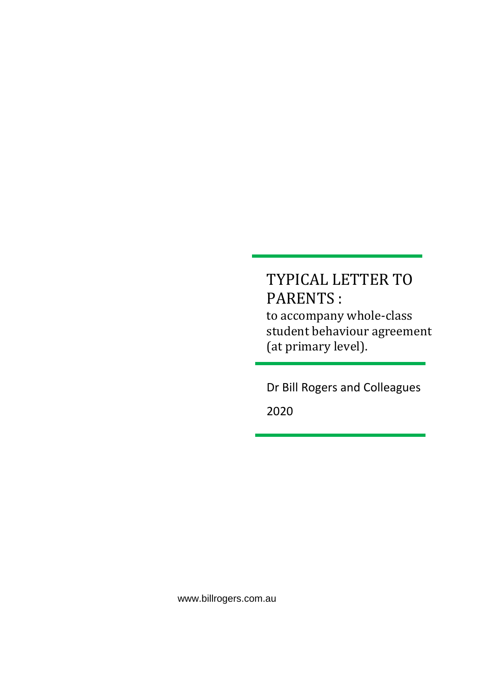## TYPICAL LETTER TO PARENTS : to accompany whole-class

student behaviour agreement (at primary level).

Dr Bill Rogers and Colleagues

2020

www.billrogers.com.au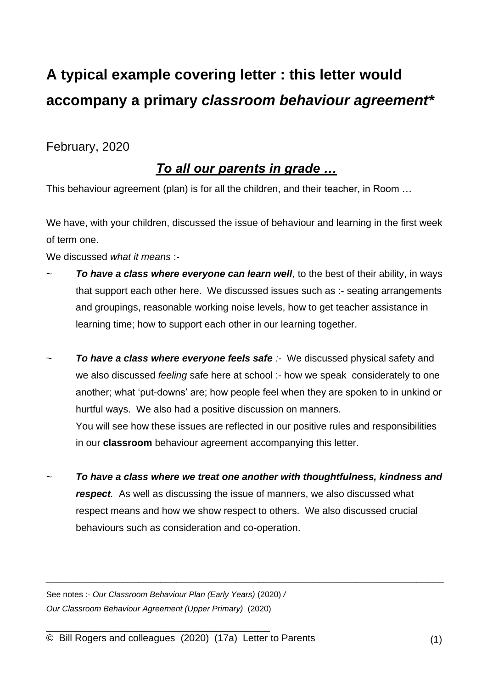# **A typical example covering letter : this letter would accompany a primary** *classroom behaviour agreement\**

February, 2020

### *To all our parents in grade …*

This behaviour agreement (plan) is for all the children, and their teacher, in Room …

We have, with your children, discussed the issue of behaviour and learning in the first week of term one.

We discussed *what it means* :-

- To have a class where everyone can learn well, to the best of their ability, in ways that support each other here. We discussed issues such as :- seating arrangements and groupings, reasonable working noise levels, how to get teacher assistance in learning time; how to support each other in our learning together.
- **To have a class where everyone feels safe** :- We discussed physical safety and we also discussed *feeling* safe here at school :- how we speak considerately to one another; what 'put-downs' are; how people feel when they are spoken to in unkind or hurtful ways. We also had a positive discussion on manners. You will see how these issues are reflected in our positive rules and responsibilities in our **classroom** behaviour agreement accompanying this letter.
- ~ *To have a class where we treat one another with thoughtfulness, kindness and respect.* As well as discussing the issue of manners, we also discussed what respect means and how we show respect to others. We also discussed crucial behaviours such as consideration and co-operation.

*\_\_\_\_\_\_\_\_\_\_\_\_\_\_\_\_\_\_\_\_\_\_\_\_\_\_\_\_\_\_\_\_\_\_\_\_\_\_\_\_\_\_\_\_\_\_\_\_\_\_\_\_\_\_\_\_\_\_\_\_\_\_\_\_\_\_\_\_\_\_\_\_\_*

See notes :- *Our Classroom Behaviour Plan (Early Years)* (2020) */ Our Classroom Behaviour Agreement (Upper Primary)* (2020)

\_\_\_\_\_\_\_\_\_\_\_\_\_\_\_\_\_\_\_\_\_\_\_\_\_\_\_\_\_\_\_\_\_\_\_\_\_\_\_\_\_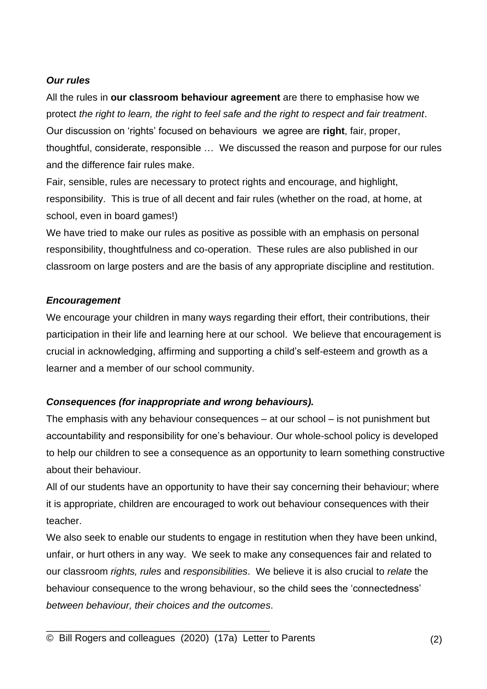#### *Our rules*

All the rules in **our classroom behaviour agreement** are there to emphasise how we protect *the right to learn, the right to feel safe and the right to respect and fair treatment*. Our discussion on 'rights' focused on behaviours we agree are **right**, fair, proper, thoughtful, considerate, responsible … We discussed the reason and purpose for our rules and the difference fair rules make.

Fair, sensible, rules are necessary to protect rights and encourage, and highlight, responsibility. This is true of all decent and fair rules (whether on the road, at home, at school, even in board games!)

We have tried to make our rules as positive as possible with an emphasis on personal responsibility, thoughtfulness and co-operation. These rules are also published in our classroom on large posters and are the basis of any appropriate discipline and restitution.

#### *Encouragement*

We encourage your children in many ways regarding their effort, their contributions, their participation in their life and learning here at our school. We believe that encouragement is crucial in acknowledging, affirming and supporting a child's self-esteem and growth as a learner and a member of our school community.

#### *Consequences (for inappropriate and wrong behaviours).*

The emphasis with any behaviour consequences – at our school – is not punishment but accountability and responsibility for one's behaviour. Our whole-school policy is developed to help our children to see a consequence as an opportunity to learn something constructive about their behaviour.

All of our students have an opportunity to have their say concerning their behaviour; where it is appropriate, children are encouraged to work out behaviour consequences with their teacher.

We also seek to enable our students to engage in restitution when they have been unkind, unfair, or hurt others in any way. We seek to make any consequences fair and related to our classroom *rights, rules* and *responsibilities*. We believe it is also crucial to *relate* the behaviour consequence to the wrong behaviour, so the child sees the 'connectedness' *between behaviour, their choices and the outcomes*.

\_\_\_\_\_\_\_\_\_\_\_\_\_\_\_\_\_\_\_\_\_\_\_\_\_\_\_\_\_\_\_\_\_\_\_\_\_\_\_\_\_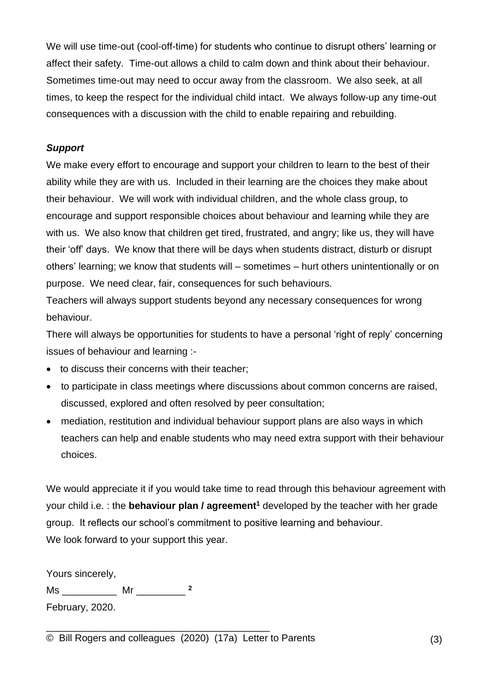We will use time-out (cool-off-time) for students who continue to disrupt others' learning or affect their safety. Time-out allows a child to calm down and think about their behaviour. Sometimes time-out may need to occur away from the classroom. We also seek, at all times, to keep the respect for the individual child intact. We always follow-up any time-out consequences with a discussion with the child to enable repairing and rebuilding.

#### *Support*

We make every effort to encourage and support your children to learn to the best of their ability while they are with us. Included in their learning are the choices they make about their behaviour. We will work with individual children, and the whole class group, to encourage and support responsible choices about behaviour and learning while they are with us. We also know that children get tired, frustrated, and angry; like us, they will have their 'off' days. We know that there will be days when students distract, disturb or disrupt others' learning; we know that students will – sometimes – hurt others unintentionally or on purpose. We need clear, fair, consequences for such behaviours.

Teachers will always support students beyond any necessary consequences for wrong behaviour.

There will always be opportunities for students to have a personal 'right of reply' concerning issues of behaviour and learning :-

- to discuss their concerns with their teacher;
- to participate in class meetings where discussions about common concerns are raised, discussed, explored and often resolved by peer consultation;
- mediation, restitution and individual behaviour support plans are also ways in which teachers can help and enable students who may need extra support with their behaviour choices.

We would appreciate it if you would take time to read through this behaviour agreement with your child i.e. : the **behaviour plan / agreement<sup>1</sup>** developed by the teacher with her grade group. It reflects our school's commitment to positive learning and behaviour. We look forward to your support this year.

Yours sincerely,

Ms \_\_\_\_\_\_\_\_\_\_ Mr \_\_\_\_\_\_\_\_\_ **<sup>2</sup>**

February, 2020.